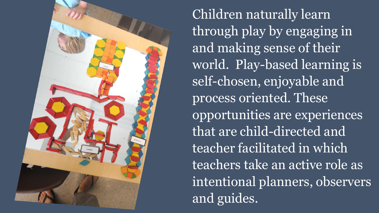

Children naturally learn through play by engaging in and making sense of their world. Play-based learning is self-chosen, enjoyable and process oriented. These opportunities are experiences that are child-directed and teacher facilitated in which teachers take an active role as intentional planners, observers and guides.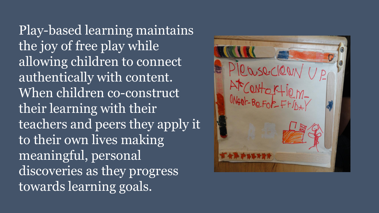Play-based learning maintains the joy of free play while allowing children to connect authentically with content. When children co-construct their learning with their teachers and peers they apply it to their own lives making meaningful, personal discoveries as they progress towards learning goals.

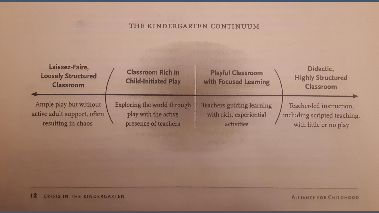## THE KINDERGARTEN CONTINUUM

| Laissez-Faire,<br><b>Loosely Structured</b><br><b>Classroom</b> | <b>Classroom Rich in</b><br><b>Child-Initiated Play</b> | <b>Playful Classroom</b><br>with Focused Learning | Didactic,<br><b>Highly Structured</b><br><b>Classroom</b> |
|-----------------------------------------------------------------|---------------------------------------------------------|---------------------------------------------------|-----------------------------------------------------------|
| Ample play but without                                          | Exploring the world through                             | Teachers guiding learning                         | Teacher-led instruction,                                  |
| active adult support, often                                     | play with the active                                    | with rich, experiential                           | including scripted teaching,                              |
| resulting in chaos                                              | presence of teachers                                    | activities                                        | with little or no play                                    |

Mary Berthell Bill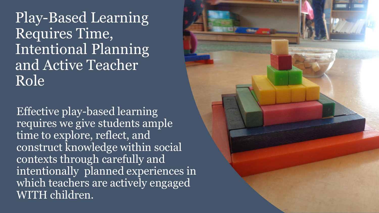Play-Based Learning Requires Time, Intentional Planning and Active Teacher Role

Effective play-based learning requires we give students ample time to explore, reflect, and construct knowledge within social contexts through carefully and intentionally planned experiences in which teachers are actively engaged WITH children.

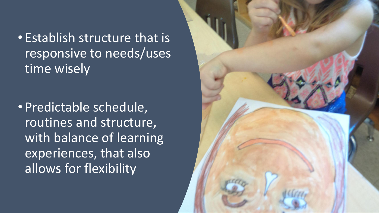• Establish structure that is responsive to needs/uses time wisely

• Predictable schedule, routines and structure, with balance of learning experiences, that also allows for flexibility

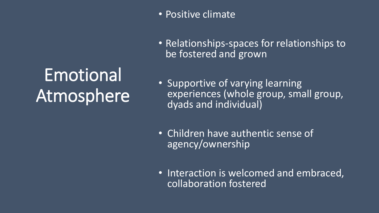## Emotional Atmosphere

- Positive climate
- Relationships-spaces for relationships to be fostered and grown
- Supportive of varying learning experiences (whole group, small group, dyads and individual)
- Children have authentic sense of agency/ownership
- Interaction is welcomed and embraced, collaboration fostered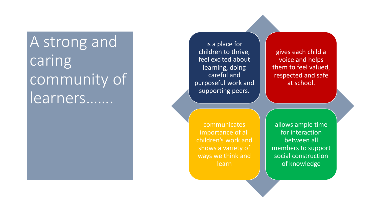## A strong and caring community of learners…….

is a place for children to thrive, feel excited about learning, doing careful and purposeful work and supporting peers.

gives each child a voice and helps them to feel valued, respected and safe at school.

communicates importance of all children's work and shows a variety of ways we think and learn

allows ample time for interaction between all members to support social construction of knowledge